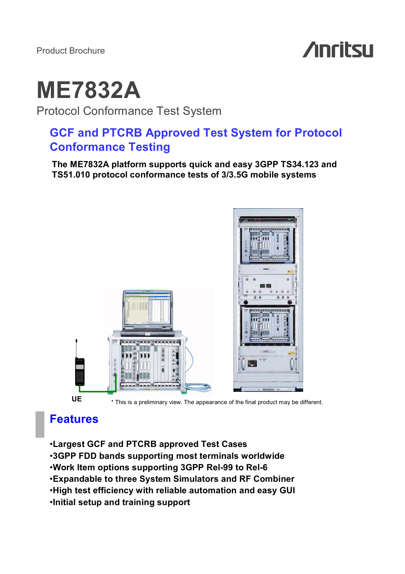Product Brochure

# **Anritsu**

# **ME7832A**

Protocol Conformance Test System

# **GCF and PTCRB Approved Test System for Protocol Conformance Testing**

**The ME7832A platform supports quick and easy 3GPP TS34.123 and TS51.010 protocol conformance tests of 3/3.5G mobile systems**



# **Features**

•**Largest GCF and PTCRB approved Test Cases** •**3GPP FDD bands supporting most terminals worldwide**  •**Work Item options supporting 3GPP Rel-99 to Rel-6** •**Expandable to three System Simulators and RF Combiner** •**High test efficiency with reliable automation and easy GUI** •**Initial setup and training support**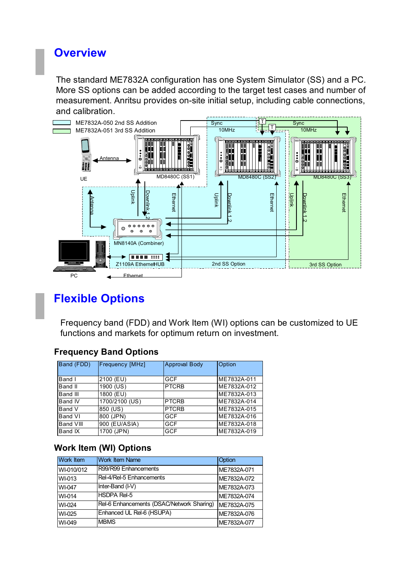# **Overview**

The standard ME7832A configuration has one System Simulator (SS) and a PC. More SS options can be added according to the target test cases and number of measurement. Anritsu provides on-site initial setup, including cable connections, and calibration.



# **Flexible Options**

Frequency band (FDD) and Work Item (WI) options can be customized to UE functions and markets for optimum return on investment.

# **Frequency Band Options**

| Band (FDD)     | Frequency [MHz] | <b>Approval Body</b> | Option      |  |  |
|----------------|-----------------|----------------------|-------------|--|--|
|                |                 |                      |             |  |  |
| Band I         | 2100 (EU)       | GCF                  | ME7832A-011 |  |  |
| Band II        | 1900 (US)       | <b>PTCRB</b>         | ME7832A-012 |  |  |
| Band III       | 1800 (EU)       |                      | ME7832A-013 |  |  |
| <b>Band IV</b> | 1700/2100 (US)  | <b>PTCRB</b>         | ME7832A-014 |  |  |
| Band V         | 850 (US)        | <b>PTCRB</b>         | ME7832A-015 |  |  |
| Band VI        | 800 (JPN)       | GCF                  | ME7832A-016 |  |  |
| Band VIII      | 900 (EU/ASIA)   | <b>GCF</b>           | ME7832A-018 |  |  |
| Band IX        | 1700 (JPN)      | <b>GCF</b>           | ME7832A-019 |  |  |

# **Work Item (WI) Options**

| Work Item  | <b>Work Item Name</b>                     | Option      |
|------------|-------------------------------------------|-------------|
| WI-010/012 | R99/R99 Enhancements                      | ME7832A-071 |
| WI-013     | Rel-4/Rel-5 Enhancements                  | ME7832A-072 |
| WI-047     | Inter-Band (I-V)                          | ME7832A-073 |
| WI-014     | <b>HSDPA Rel-5</b>                        | ME7832A-074 |
| WI-024     | Rel-6 Enhancements (DSAC/Network Sharing) | ME7832A-075 |
| WI-025     | Enhanced UL Rel-6 (HSUPA)                 | ME7832A-076 |
| WI-049     | <b>MBMS</b>                               | ME7832A-077 |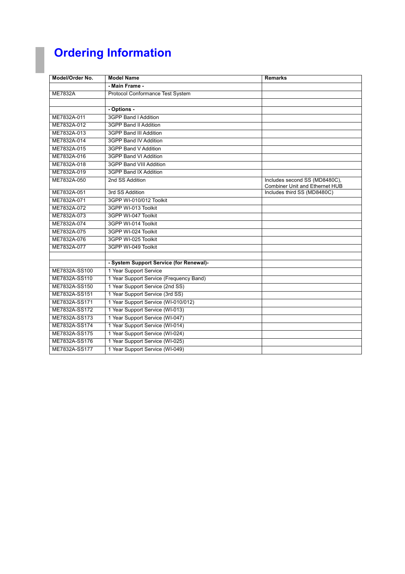# **Ordering Information**

| Model/Order No. | <b>Model Name</b>                       | <b>Remarks</b>                                                         |
|-----------------|-----------------------------------------|------------------------------------------------------------------------|
|                 | - Main Frame -                          |                                                                        |
| <b>ME7832A</b>  | Protocol Conformance Test System        |                                                                        |
|                 |                                         |                                                                        |
|                 | - Options -                             |                                                                        |
| ME7832A-011     | 3GPP Band I Addition                    |                                                                        |
| ME7832A-012     | 3GPP Band II Addition                   |                                                                        |
| ME7832A-013     | 3GPP Band III Addition                  |                                                                        |
| ME7832A-014     | 3GPP Band IV Addition                   |                                                                        |
| ME7832A-015     | 3GPP Band V Addition                    |                                                                        |
| ME7832A-016     | 3GPP Band VI Addition                   |                                                                        |
| ME7832A-018     | 3GPP Band VIII Addition                 |                                                                        |
| ME7832A-019     | 3GPP Band IX Addition                   |                                                                        |
| ME7832A-050     | 2nd SS Addition                         | Includes second SS (MD8480C),<br><b>Combiner Unit and Ethernet HUB</b> |
| ME7832A-051     | 3rd SS Addition                         | Includes third SS (MD8480C)                                            |
| ME7832A-071     | 3GPP WI-010/012 Toolkit                 |                                                                        |
| ME7832A-072     | 3GPP WI-013 Toolkit                     |                                                                        |
| ME7832A-073     | 3GPP WI-047 Toolkit                     |                                                                        |
| ME7832A-074     | 3GPP WI-014 Toolkit                     |                                                                        |
| ME7832A-075     | 3GPP WI-024 Toolkit                     |                                                                        |
| ME7832A-076     | 3GPP WI-025 Toolkit                     |                                                                        |
| ME7832A-077     | 3GPP WI-049 Toolkit                     |                                                                        |
|                 |                                         |                                                                        |
|                 | - System Support Service (for Renewal)- |                                                                        |
| ME7832A-SS100   | 1 Year Support Service                  |                                                                        |
| ME7832A-SS110   | 1 Year Support Service (Frequency Band) |                                                                        |
| ME7832A-SS150   | 1 Year Support Service (2nd SS)         |                                                                        |
| ME7832A-SS151   | 1 Year Support Service (3rd SS)         |                                                                        |
| ME7832A-SS171   | 1 Year Support Service (WI-010/012)     |                                                                        |
| ME7832A-SS172   | 1 Year Support Service (WI-013)         |                                                                        |
| ME7832A-SS173   | 1 Year Support Service (WI-047)         |                                                                        |
| ME7832A-SS174   | 1 Year Support Service (WI-014)         |                                                                        |
| ME7832A-SS175   | 1 Year Support Service (WI-024)         |                                                                        |
| ME7832A-SS176   | 1 Year Support Service (WI-025)         |                                                                        |
| ME7832A-SS177   | 1 Year Support Service (WI-049)         |                                                                        |